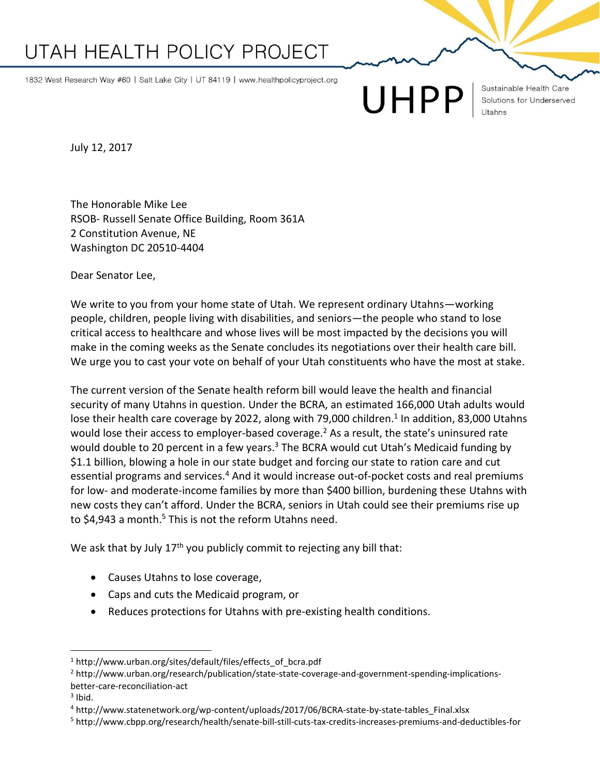## UTAH HEALTH POLICY PROJECT

1832 West Research Way #60 | Salt Lake City | UT 84119 | www.healthpolicyproject.org

UHPP

Sustainable Health Care Solutions for Underserved

July 12, 2017

The Honorable Mike Lee RSOB- Russell Senate Office Building, Room 361A 2 Constitution Avenue, NE Washington DC 20510-4404

Dear Senator Lee,

We write to you from your home state of Utah. We represent ordinary Utahns—working people, children, people living with disabilities, and seniors—the people who stand to lose critical access to healthcare and whose lives will be most impacted by the decisions you will make in the coming weeks as the Senate concludes its negotiations over their health care bill. We urge you to cast your vote on behalf of your Utah constituents who have the most at stake.

The current version of the Senate health reform bill would leave the health and financial security of many Utahns in question. Under the BCRA, an estimated 166,000 Utah adults would lose their health care coverage by 2022, along with 79,000 children.<sup>1</sup> In addition, 83,000 Utahns would lose their access to employer-based coverage.<sup>2</sup> As a result, the state's uninsured rate would double to 20 percent in a few years.<sup>3</sup> The BCRA would cut Utah's Medicaid funding by \$1.1 billion, blowing a hole in our state budget and forcing our state to ration care and cut essential programs and services.<sup>4</sup> And it would increase out-of-pocket costs and real premiums for low- and moderate-income families by more than \$400 billion, burdening these Utahns with new costs they can't afford. Under the BCRA, seniors in Utah could see their premiums rise up to \$4,943 a month.<sup>5</sup> This is not the reform Utahns need.

We ask that by July 17<sup>th</sup> you publicly commit to rejecting any bill that:

- Causes Utahns to lose coverage,
- Caps and cuts the Medicaid program, or
- Reduces protections for Utahns with pre-existing health conditions.

 $3$  Ibid.

 $\overline{a}$ 

<sup>&</sup>lt;sup>1</sup> http://www.urban.org/sites/default/files/effects\_of\_bcra.pdf

<sup>2</sup> http://www.urban.org/research/publication/state-state-coverage-and-government-spending-implicationsbetter-care-reconciliation-act

<sup>4</sup> http://www.statenetwork.org/wp-content/uploads/2017/06/BCRA-state-by-state-tables\_Final.xlsx

<sup>5</sup> http://www.cbpp.org/research/health/senate-bill-still-cuts-tax-credits-increases-premiums-and-deductibles-for